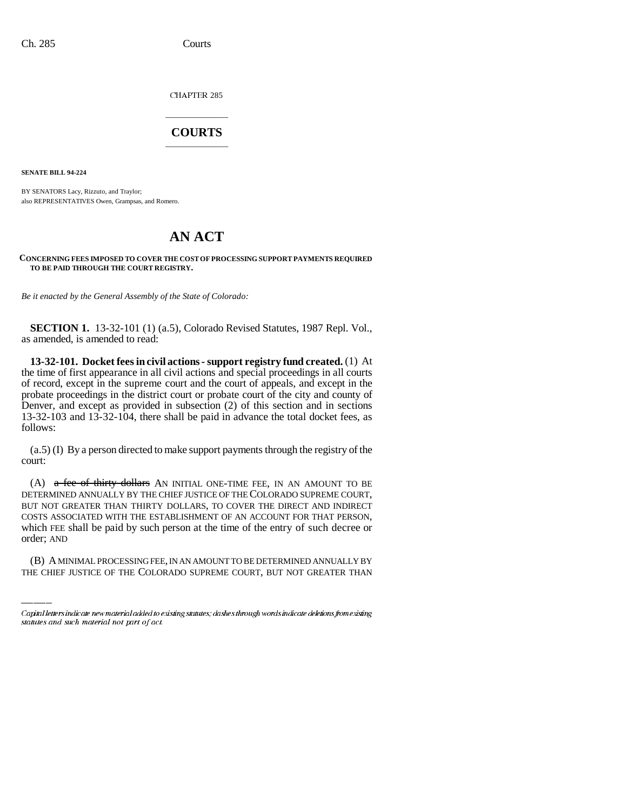CHAPTER 285

## \_\_\_\_\_\_\_\_\_\_\_\_\_\_\_ **COURTS** \_\_\_\_\_\_\_\_\_\_\_\_\_\_\_

**SENATE BILL 94-224**

BY SENATORS Lacy, Rizzuto, and Traylor; also REPRESENTATIVES Owen, Grampsas, and Romero.

## **AN ACT**

## **CONCERNING FEES IMPOSED TO COVER THE COST OF PROCESSING SUPPORT PAYMENTS REQUIRED TO BE PAID THROUGH THE COURT REGISTRY.**

*Be it enacted by the General Assembly of the State of Colorado:*

**SECTION 1.** 13-32-101 (1) (a.5), Colorado Revised Statutes, 1987 Repl. Vol., as amended, is amended to read:

**13-32-101. Docket fees in civil actions - support registry fund created.** (1) At the time of first appearance in all civil actions and special proceedings in all courts of record, except in the supreme court and the court of appeals, and except in the probate proceedings in the district court or probate court of the city and county of Denver, and except as provided in subsection (2) of this section and in sections 13-32-103 and 13-32-104, there shall be paid in advance the total docket fees, as follows:

(a.5) (I) By a person directed to make support payments through the registry of the court:

which FEE shall be paid by such person at the time of the entry of such decree or (A)  $a$  fee of thirty dollars AN INITIAL ONE-TIME FEE, IN AN AMOUNT TO BE DETERMINED ANNUALLY BY THE CHIEF JUSTICE OF THE COLORADO SUPREME COURT, BUT NOT GREATER THAN THIRTY DOLLARS, TO COVER THE DIRECT AND INDIRECT COSTS ASSOCIATED WITH THE ESTABLISHMENT OF AN ACCOUNT FOR THAT PERSON, order; AND

(B) A MINIMAL PROCESSING FEE, IN AN AMOUNT TO BE DETERMINED ANNUALLY BY THE CHIEF JUSTICE OF THE COLORADO SUPREME COURT, BUT NOT GREATER THAN

Capital letters indicate new material added to existing statutes; dashes through words indicate deletions from existing statutes and such material not part of act.